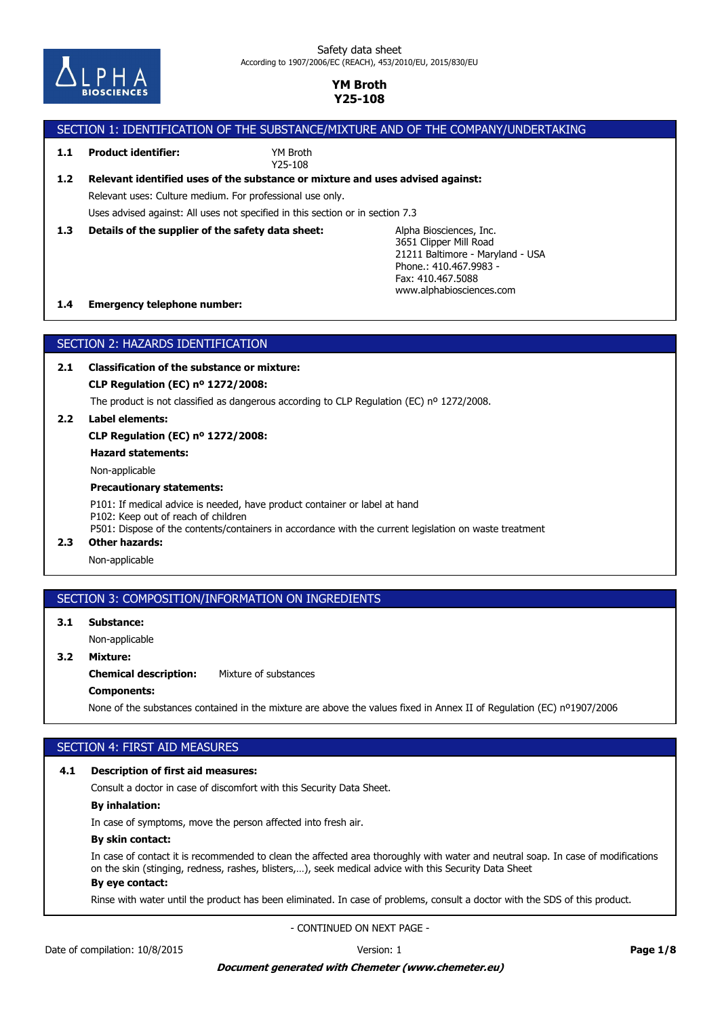

### Safety data sheet According to 1907/2006/EC (REACH), 453/2010/EU, 2015/830/EU

## **YM Broth Y25-108**

# SECTION 1: IDENTIFICATION OF THE SUBSTANCE/MIXTURE AND OF THE COMPANY/UNDERTAKING

## **1.1 Product identifier:**

YM Broth Y25-108

# Relevant uses: Culture medium. For professional use only. **1.2 Relevant identified uses of the substance or mixture and uses advised against:**

Uses advised against: All uses not specified in this section or in section 7.3

**1.3 Details of the supplier of the safety data sheet:**

Alpha Biosciences, Inc. 3651 Clipper Mill Road 21211 Baltimore - Maryland - USA Phone.: 410.467.9983 - Fax: 410.467.5088 www.alphabiosciences.com

### **1.4 Emergency telephone number:**

## SECTION 2: HAZARDS IDENTIFICATION

**2.1 Classification of the substance or mixture:**

**CLP Regulation (EC) nº 1272/2008:**

The product is not classified as dangerous according to CLP Regulation (EC) nº 1272/2008.

**2.2 Label elements:**

**CLP Regulation (EC) nº 1272/2008:**

**Hazard statements:**

Non-applicable

### **Precautionary statements:**

P101: If medical advice is needed, have product container or label at hand P102: Keep out of reach of children P501: Dispose of the contents/containers in accordance with the current legislation on waste treatment

## **2.3 Other hazards:**

Non-applicable

## SECTION 3: COMPOSITION/INFORMATION ON INGREDIENTS

**3.1 Substance:**

Non-applicable

# **3.2 Mixture:**

**Chemical description:** Mixture of substances

### **Components:**

None of the substances contained in the mixture are above the values fixed in Annex II of Regulation (EC) nº1907/2006

## SECTION 4: FIRST AID MEASURES

### **4.1 Description of first aid measures:**

Consult a doctor in case of discomfort with this Security Data Sheet.

## **By inhalation:**

In case of symptoms, move the person affected into fresh air.

### **By skin contact:**

In case of contact it is recommended to clean the affected area thoroughly with water and neutral soap. In case of modifications on the skin (stinging, redness, rashes, blisters,…), seek medical advice with this Security Data Sheet

# **By eye contact:**

Rinse with water until the product has been eliminated. In case of problems, consult a doctor with the SDS of this product.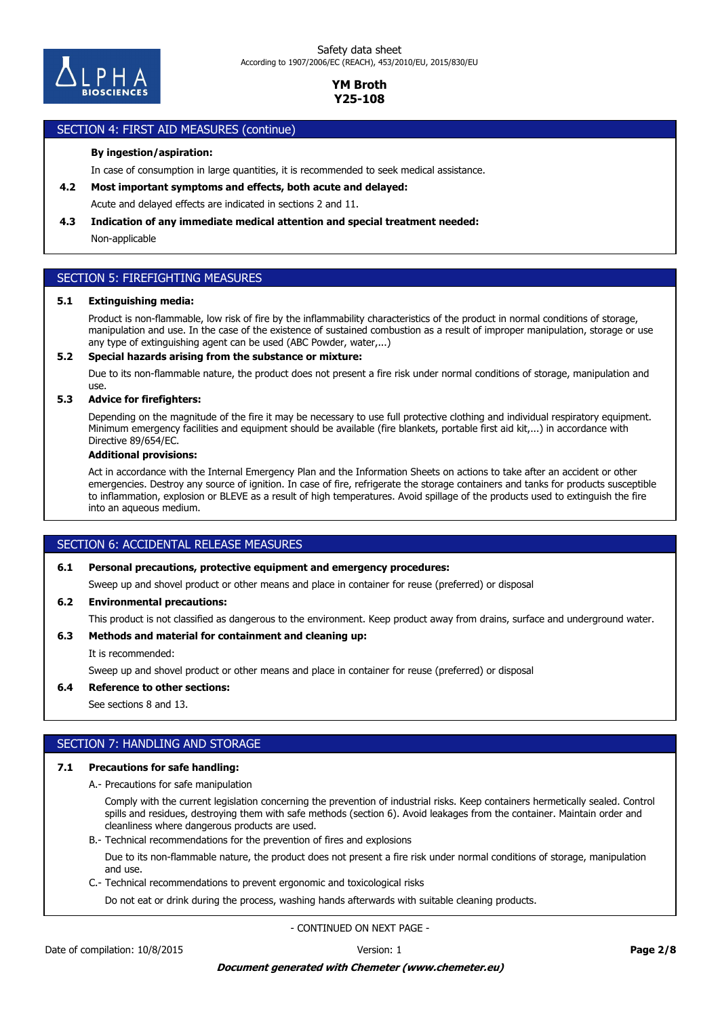

### SECTION 4: FIRST AID MEASURES (continue)

### **By ingestion/aspiration:**

In case of consumption in large quantities, it is recommended to seek medical assistance.

**4.2 Most important symptoms and effects, both acute and delayed:**

Acute and delayed effects are indicated in sections 2 and 11.

### **4.3 Indication of any immediate medical attention and special treatment needed:**

Non-applicable

## SECTION 5: FIREFIGHTING MEASURES

### **5.1 Extinguishing media:**

Product is non-flammable, low risk of fire by the inflammability characteristics of the product in normal conditions of storage, manipulation and use. In the case of the existence of sustained combustion as a result of improper manipulation, storage or use any type of extinguishing agent can be used (ABC Powder, water,...)

### **5.2 Special hazards arising from the substance or mixture:**

Due to its non-flammable nature, the product does not present a fire risk under normal conditions of storage, manipulation and use.

### **5.3 Advice for firefighters:**

Depending on the magnitude of the fire it may be necessary to use full protective clothing and individual respiratory equipment. Minimum emergency facilities and equipment should be available (fire blankets, portable first aid kit,...) in accordance with Directive 89/654/EC.

### **Additional provisions:**

Act in accordance with the Internal Emergency Plan and the Information Sheets on actions to take after an accident or other emergencies. Destroy any source of ignition. In case of fire, refrigerate the storage containers and tanks for products susceptible to inflammation, explosion or BLEVE as a result of high temperatures. Avoid spillage of the products used to extinguish the fire into an aqueous medium.

## SECTION 6: ACCIDENTAL RELEASE MEASURES

### **6.1 Personal precautions, protective equipment and emergency procedures:**

Sweep up and shovel product or other means and place in container for reuse (preferred) or disposal

### **6.2 Environmental precautions:**

This product is not classified as dangerous to the environment. Keep product away from drains, surface and underground water.

### **6.3 Methods and material for containment and cleaning up:**

It is recommended:

Sweep up and shovel product or other means and place in container for reuse (preferred) or disposal

### **6.4 Reference to other sections:**

See sections 8 and 13.

## SECTION 7: HANDLING AND STORAGE

### **7.1 Precautions for safe handling:**

A.- Precautions for safe manipulation

Comply with the current legislation concerning the prevention of industrial risks. Keep containers hermetically sealed. Control spills and residues, destroying them with safe methods (section 6). Avoid leakages from the container. Maintain order and cleanliness where dangerous products are used.

B.- Technical recommendations for the prevention of fires and explosions

Due to its non-flammable nature, the product does not present a fire risk under normal conditions of storage, manipulation and use.

C.- Technical recommendations to prevent ergonomic and toxicological risks

Do not eat or drink during the process, washing hands afterwards with suitable cleaning products.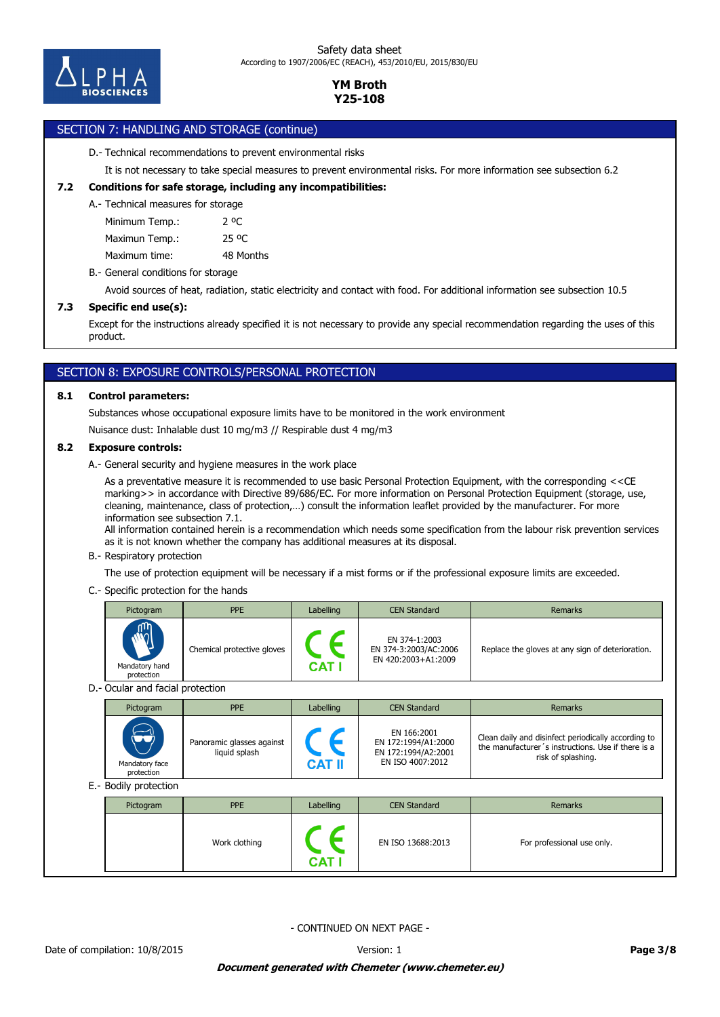

# SECTION 7: HANDLING AND STORAGE (continue)

### D.- Technical recommendations to prevent environmental risks

It is not necessary to take special measures to prevent environmental risks. For more information see subsection 6.2

### **7.2 Conditions for safe storage, including any incompatibilities:**

### A.- Technical measures for storage

Minimum Temp.: 2 °C

Maximun Temp.: 25 °C

Maximum time: 48 Months

B.- General conditions for storage

Avoid sources of heat, radiation, static electricity and contact with food. For additional information see subsection 10.5

## **7.3 Specific end use(s):**

Except for the instructions already specified it is not necessary to provide any special recommendation regarding the uses of this product.

# SECTION 8: EXPOSURE CONTROLS/PERSONAL PROTECTION

### **8.1 Control parameters:**

Substances whose occupational exposure limits have to be monitored in the work environment

Nuisance dust: Inhalable dust 10 mg/m3 // Respirable dust 4 mg/m3

### **8.2 Exposure controls:**

A.- General security and hygiene measures in the work place

As a preventative measure it is recommended to use basic Personal Protection Equipment, with the corresponding <<CE marking>> in accordance with Directive 89/686/EC. For more information on Personal Protection Equipment (storage, use, cleaning, maintenance, class of protection,…) consult the information leaflet provided by the manufacturer. For more information see subsection 7.1.

All information contained herein is a recommendation which needs some specification from the labour risk prevention services as it is not known whether the company has additional measures at its disposal.

### B.- Respiratory protection

The use of protection equipment will be necessary if a mist forms or if the professional exposure limits are exceeded.

### C.- Specific protection for the hands

|                                  | Pictogram                    | <b>PPE</b>                                 | Labelling                   | <b>CEN Standard</b>                                                           | <b>Remarks</b>                                                                                                                  |  |  |  |
|----------------------------------|------------------------------|--------------------------------------------|-----------------------------|-------------------------------------------------------------------------------|---------------------------------------------------------------------------------------------------------------------------------|--|--|--|
|                                  | Mandatory hand<br>protection | Chemical protective gloves                 | $\epsilon$<br><b>CAT I</b>  | EN 374-1:2003<br>EN 374-3:2003/AC:2006<br>EN 420:2003+A1:2009                 | Replace the gloves at any sign of deterioration.                                                                                |  |  |  |
| D.- Ocular and facial protection |                              |                                            |                             |                                                                               |                                                                                                                                 |  |  |  |
|                                  | Pictogram                    | <b>PPE</b>                                 | Labelling                   | <b>CEN Standard</b>                                                           | <b>Remarks</b>                                                                                                                  |  |  |  |
|                                  | Mandatory face<br>protection | Panoramic glasses against<br>liquid splash | $\epsilon$<br><b>CAT II</b> | EN 166:2001<br>EN 172:1994/A1:2000<br>EN 172:1994/A2:2001<br>EN ISO 4007:2012 | Clean daily and disinfect periodically according to<br>the manufacturer's instructions. Use if there is a<br>risk of splashing. |  |  |  |
|                                  | E.- Bodily protection        |                                            |                             |                                                                               |                                                                                                                                 |  |  |  |
|                                  | Pictogram                    | <b>PPE</b>                                 | Labelling                   | <b>CEN Standard</b>                                                           | <b>Remarks</b>                                                                                                                  |  |  |  |
|                                  |                              | Work clothing                              |                             | EN ISO 13688:2013                                                             | For professional use only.                                                                                                      |  |  |  |

- CONTINUED ON NEXT PAGE -

**CAT I**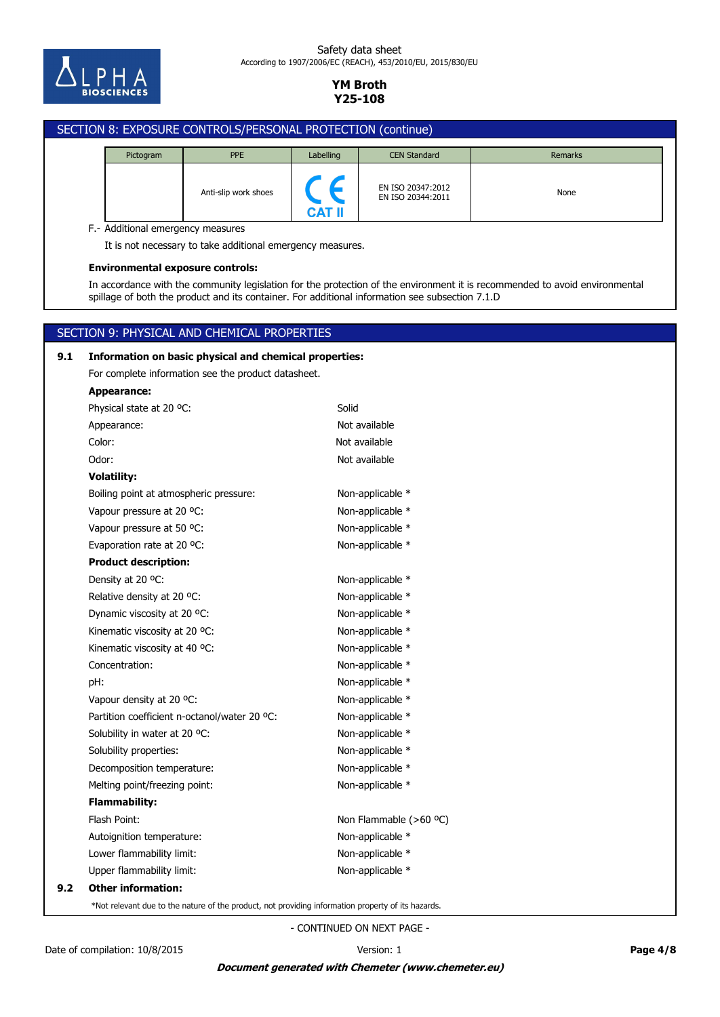

### Safety data sheet According to 1907/2006/EC (REACH), 453/2010/EU, 2015/830/EU

## **YM Broth Y25-108**

# SECTION 8: EXPOSURE CONTROLS/PERSONAL PROTECTION (continue) Pictogram **PPE** PPE Labelling CEN Standard **Remarks** EN ISO 20347:2012 Anti-slip work shoes<br>EN ISO 20344:2011 **CAT II** F.- Additional emergency measures It is not necessary to take additional emergency measures. **Environmental exposure controls:** In accordance with the community legislation for the protection of the environment it is recommended to avoid environmental spillage of both the product and its container. For additional information see subsection 7.1.D SECTION 9: PHYSICAL AND CHEMICAL PROPERTIES

# **9.2 Other information:** Upper flammability limit: Non-applicable \* Lower flammability limit: Non-applicable \* Autoignition temperature: Non-applicable \* Flash Point: The Community of the Non Flammable (>60 °C) **Flammability:** Melting point/freezing point: Non-applicable \* Decomposition temperature: Non-applicable \* Solubility properties: Non-applicable \* Solubility in water at 20 °C: Non-applicable \* Partition coefficient n-octanol/water 20 °C: Non-applicable \* Vapour density at 20 °C: Non-applicable \* pH: Non-applicable \* Concentration: Non-applicable \* Kinematic viscosity at 40 °C:  $\blacksquare$  Non-applicable  $*$ Kinematic viscosity at 20 °C: Non-applicable \* Dynamic viscosity at 20 °C: Non-applicable \* Relative density at 20 °C: Non-applicable \* Density at 20 °C: Non-applicable \* **Product description:** Evaporation rate at 20 °C: Non-applicable \* Vapour pressure at 50 °C: Non-applicable \* Vapour pressure at 20 °C: Non-applicable \* Boiling point at atmospheric pressure: Non-applicable \* **Volatility:** Odor: Not available Color: Not available Appearance: Not available Physical state at 20 °C: Solid **Appearance:** For complete information see the product datasheet. **9.1 Information on basic physical and chemical properties:**

\*Not relevant due to the nature of the product, not providing information property of its hazards.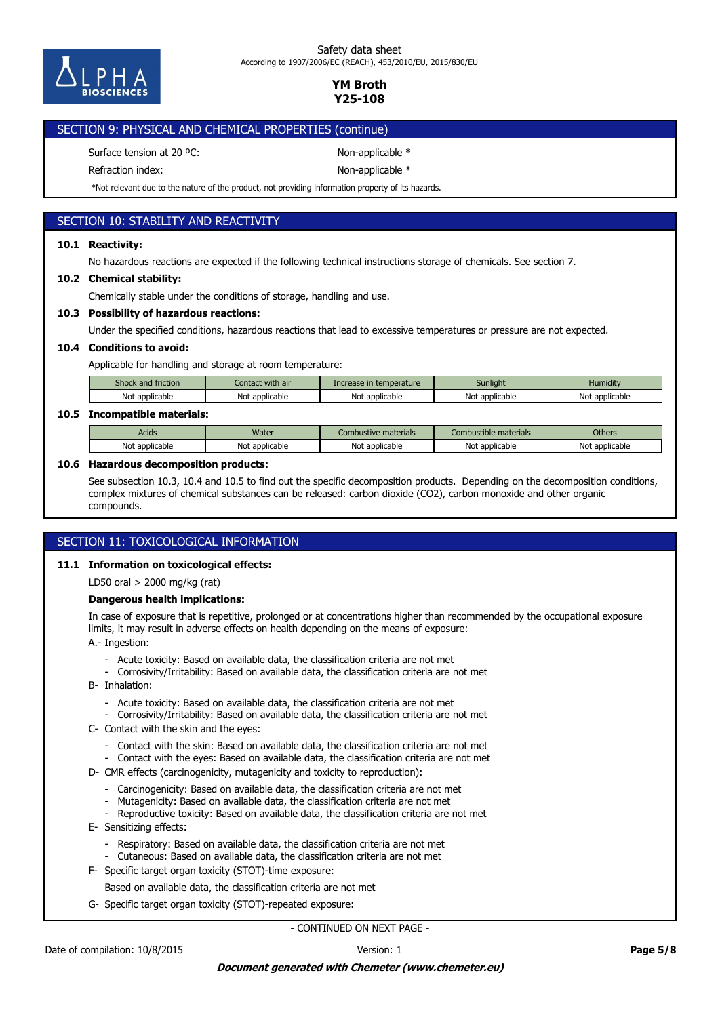

Safety data sheet According to 1907/2006/EC (REACH), 453/2010/EU, 2015/830/EU

> **YM Broth Y25-108**

## SECTION 9: PHYSICAL AND CHEMICAL PROPERTIES (continue)

Surface tension at 20 °C: Non-applicable \*

Refraction index: Non-applicable \*

\*Not relevant due to the nature of the product, not providing information property of its hazards.

## SECTION 10: STABILITY AND REACTIVITY

### **10.1 Reactivity:**

No hazardous reactions are expected if the following technical instructions storage of chemicals. See section 7.

### **10.2 Chemical stability:**

Chemically stable under the conditions of storage, handling and use.

### **10.3 Possibility of hazardous reactions:**

Under the specified conditions, hazardous reactions that lead to excessive temperatures or pressure are not expected.

### **10.4 Conditions to avoid:**

Applicable for handling and storage at room temperature:

| Shock and friction | Contact with air | Increase in temperature | Sunliaht       | Humidity       |
|--------------------|------------------|-------------------------|----------------|----------------|
| Not applicable     | Not applicable   | Not<br>: applicable     | Not applicable | Not applicable |

### **10.5 Incompatible materials:**

| Acids                          | <b>Water</b>   | : materials<br>.ombustive     | .<br>: materials<br>Combustible | <b>Others</b>  |
|--------------------------------|----------------|-------------------------------|---------------------------------|----------------|
| Not<br><sup>.</sup> applicable | Not applicable | Nl∩t<br>t applicable:<br>ινυι | t applicable<br>יהוח<br>ושטו    | Not applicable |

### **10.6 Hazardous decomposition products:**

See subsection 10.3, 10.4 and 10.5 to find out the specific decomposition products. Depending on the decomposition conditions, complex mixtures of chemical substances can be released: carbon dioxide (CO2), carbon monoxide and other organic compounds.

### SECTION 11: TOXICOLOGICAL INFORMATION

### **11.1 Information on toxicological effects:**

LD50 oral > 2000 mg/kg (rat)

### **Dangerous health implications:**

In case of exposure that is repetitive, prolonged or at concentrations higher than recommended by the occupational exposure limits, it may result in adverse effects on health depending on the means of exposure:

A.- Ingestion:

- Acute toxicity: Based on available data, the classification criteria are not met
- Corrosivity/Irritability: Based on available data, the classification criteria are not met
- B- Inhalation:
	- Acute toxicity: Based on available data, the classification criteria are not met
	- Corrosivity/Irritability: Based on available data, the classification criteria are not met
- C- Contact with the skin and the eyes:
	- Contact with the skin: Based on available data, the classification criteria are not met
	- Contact with the eyes: Based on available data, the classification criteria are not met
- D- CMR effects (carcinogenicity, mutagenicity and toxicity to reproduction):
	- Carcinogenicity: Based on available data, the classification criteria are not met
	- Mutagenicity: Based on available data, the classification criteria are not met
	- Reproductive toxicity: Based on available data, the classification criteria are not met
- E- Sensitizing effects:
	- Respiratory: Based on available data, the classification criteria are not met
	- Cutaneous: Based on available data, the classification criteria are not met
- F- Specific target organ toxicity (STOT)-time exposure:
	- Based on available data, the classification criteria are not met
- G- Specific target organ toxicity (STOT)-repeated exposure: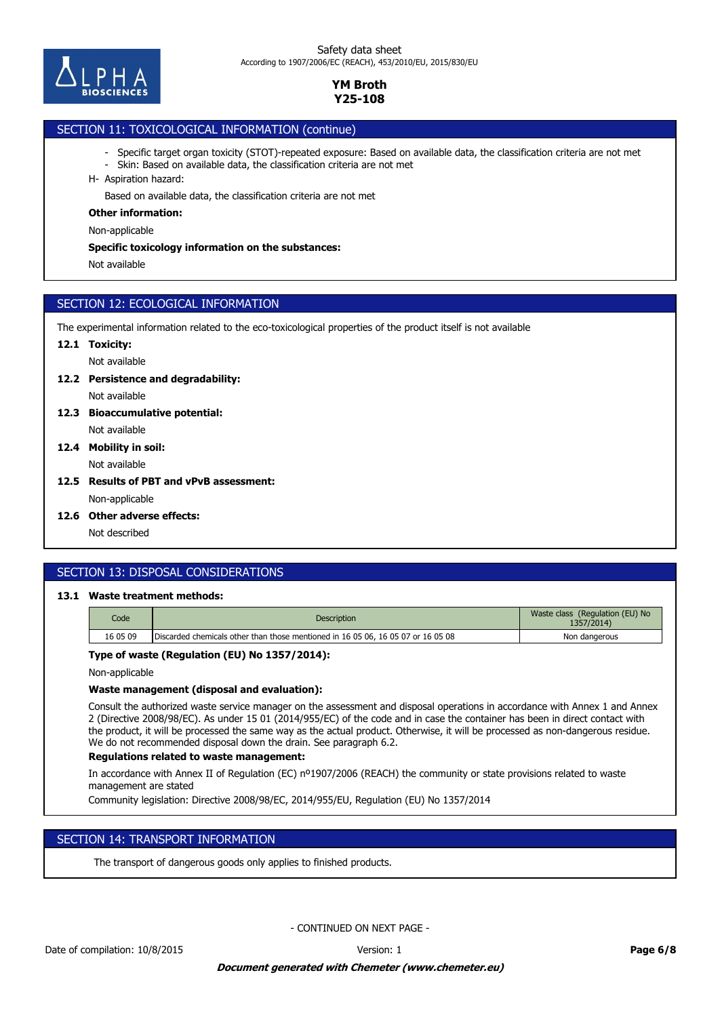

# SECTION 11: TOXICOLOGICAL INFORMATION (continue)

- Specific target organ toxicity (STOT)-repeated exposure: Based on available data, the classification criteria are not met
- Skin: Based on available data, the classification criteria are not met
- H- Aspiration hazard:

Based on available data, the classification criteria are not met

### **Other information:**

Non-applicable

### **Specific toxicology information on the substances:**

Not available

## SECTION 12: ECOLOGICAL INFORMATION

The experimental information related to the eco-toxicological properties of the product itself is not available

### **12.1 Toxicity:**

Not available

### **12.2 Persistence and degradability:**

Not available

- Not available **12.3 Bioaccumulative potential:**
- Not available **12.4 Mobility in soil:**
- **12.5 Results of PBT and vPvB assessment:**

Non-applicable

**12.6 Other adverse effects:**

Not described

# SECTION 13: DISPOSAL CONSIDERATIONS

## **13.1 Waste treatment methods:**

| Code     | <b>Description</b>                                                               | Waste class (Regulation (EU) No<br>1357/2014) |
|----------|----------------------------------------------------------------------------------|-----------------------------------------------|
| 16 05 09 | Discarded chemicals other than those mentioned in 16 05 06, 16 05 07 or 16 05 08 | Non dangerous                                 |

## **Type of waste (Regulation (EU) No 1357/2014):**

Non-applicable

### **Waste management (disposal and evaluation):**

Consult the authorized waste service manager on the assessment and disposal operations in accordance with Annex 1 and Annex 2 (Directive 2008/98/EC). As under 15 01 (2014/955/EC) of the code and in case the container has been in direct contact with the product, it will be processed the same way as the actual product. Otherwise, it will be processed as non-dangerous residue. We do not recommended disposal down the drain. See paragraph 6.2.

### **Regulations related to waste management:**

In accordance with Annex II of Regulation (EC) nº1907/2006 (REACH) the community or state provisions related to waste management are stated

Community legislation: Directive 2008/98/EC, 2014/955/EU, Regulation (EU) No 1357/2014

## SECTION 14: TRANSPORT INFORMATION

The transport of dangerous goods only applies to finished products.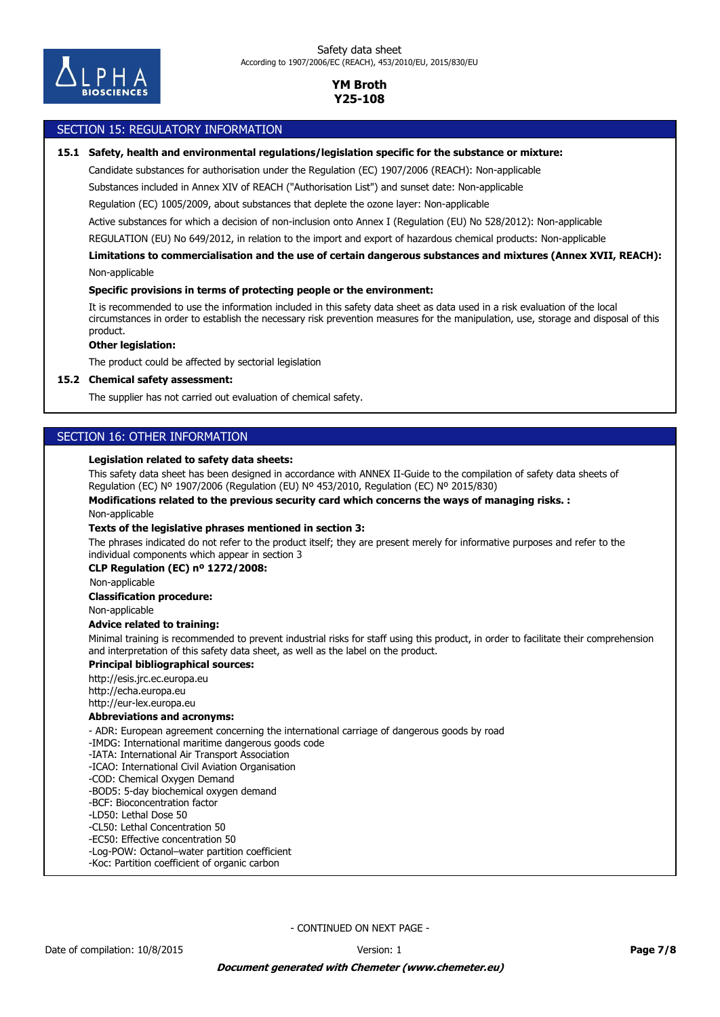

### SECTION 15: REGULATORY INFORMATION

### **15.1 Safety, health and environmental regulations/legislation specific for the substance or mixture:**

Candidate substances for authorisation under the Regulation (EC) 1907/2006 (REACH): Non-applicable

Substances included in Annex XIV of REACH ("Authorisation List") and sunset date: Non-applicable

Regulation (EC) 1005/2009, about substances that deplete the ozone layer: Non-applicable

Active substances for which a decision of non-inclusion onto Annex I (Regulation (EU) No 528/2012): Non-applicable

REGULATION (EU) No 649/2012, in relation to the import and export of hazardous chemical products: Non-applicable

Non-applicable **Limitations to commercialisation and the use of certain dangerous substances and mixtures (Annex XVII, REACH):**

### **Specific provisions in terms of protecting people or the environment:**

It is recommended to use the information included in this safety data sheet as data used in a risk evaluation of the local circumstances in order to establish the necessary risk prevention measures for the manipulation, use, storage and disposal of this product.

### **Other legislation:**

The product could be affected by sectorial legislation

### **15.2 Chemical safety assessment:**

The supplier has not carried out evaluation of chemical safety.

## SECTION 16: OTHER INFORMATION

### **Legislation related to safety data sheets:**

This safety data sheet has been designed in accordance with ANNEX II-Guide to the compilation of safety data sheets of Regulation (EC) Nº 1907/2006 (Regulation (EU) Nº 453/2010, Regulation (EC) Nº 2015/830)

**Modifications related to the previous security card which concerns the ways of managing risks. :**

Non-applicable

### **Texts of the legislative phrases mentioned in section 3:**

The phrases indicated do not refer to the product itself; they are present merely for informative purposes and refer to the individual components which appear in section 3

#### **CLP Regulation (EC) nº 1272/2008:**

Non-applicable

#### **Classification procedure:**

Non-applicable

### **Advice related to training:**

Minimal training is recommended to prevent industrial risks for staff using this product, in order to facilitate their comprehension and interpretation of this safety data sheet, as well as the label on the product.

### **Principal bibliographical sources:**

http://esis.jrc.ec.europa.eu http://echa.europa.eu http://eur-lex.europa.eu

### **Abbreviations and acronyms:**

- ADR: European agreement concerning the international carriage of dangerous goods by road

- -IMDG: International maritime dangerous goods code
- -IATA: International Air Transport Association
- -ICAO: International Civil Aviation Organisation
- -COD: Chemical Oxygen Demand
- -BOD5: 5-day biochemical oxygen demand
- -BCF: Bioconcentration factor
- -LD50: Lethal Dose 50
- -CL50: Lethal Concentration 50
- -EC50: Effective concentration 50
- -Log-POW: Octanol–water partition coefficient
- -Koc: Partition coefficient of organic carbon